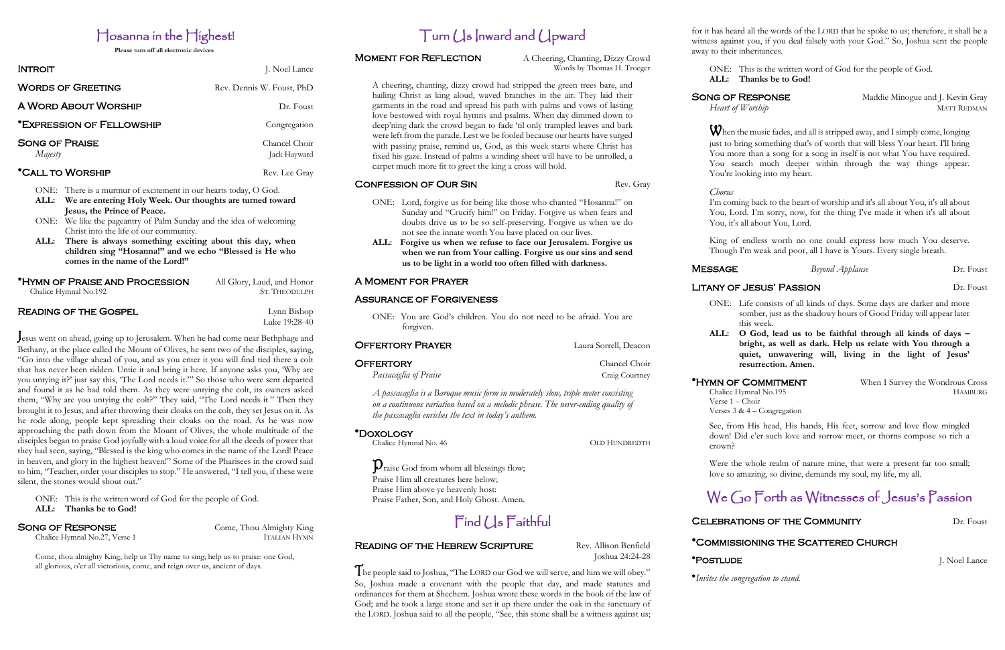## Hosanna in the Highest!

 **Please turn off all electronic devices** 

| <b>INTROIT</b>                   | J. Noel Lance                 |
|----------------------------------|-------------------------------|
| <b>WORDS OF GREETING</b>         | Rev. Dennis W. Foust, PhD     |
| A WORD ABOUT WORSHIP             | Dr. Foust                     |
| *EXPRESSION OF FELLOWSHIP        | Congregation                  |
| <b>SONG OF PRAISE</b><br>Majesty | Chancel Choir<br>Jack Hayward |
| *CALL TO WORSHIP                 | Rev. Lee Gray                 |

ONE: There is a murmur of excitement in our hearts today, O God.

Jesus went on ahead, going up to Jerusalem. When he had come near Bethphage and Bethany, at the place called the Mount of Olives, he sent two of the disciples, saying, "Go into the village ahead of you, and as you enter it you will find tied there a colt that has never been ridden. Untie it and bring it here. If anyone asks you, 'Why are you untying it?' just say this, 'The Lord needs it.'" So those who were sent departed and found it as he had told them. As they were untying the colt, its owners asked them, "Why are you untying the colt?" They said, "The Lord needs it." Then they brought it to Jesus; and after throwing their cloaks on the colt, they set Jesus on it. As he rode along, people kept spreading their cloaks on the road. As he was now approaching the path down from the Mount of Olives, the whole multitude of the disciples began to praise God joyfully with a loud voice for all the deeds of power that they had seen, saying, "Blessed is the king who comes in the name of the Lord! Peace in heaven, and glory in the highest heaven!" Some of the Pharisees in the crowd said to him, "Teacher, order your disciples to stop." He answered, "I tell you, if these were silent, the stones would shout out."

- **ALL: We are entering Holy Week. Our thoughts are turned toward Jesus, the Prince of Peace.**
- ONE: We like the pageantry of Palm Sunday and the idea of welcoming Christ into the life of our community.
- **ALL: There is always something exciting about this day, when children sing "Hosanna!" and we echo "Blessed is He who comes in the name of the Lord!"**

| HYMN OF PRAISE AND PROCESSION |  |
|-------------------------------|--|
| Chalice Hymnal No.192         |  |

#### All Glory, Laud, and Honor ST. THEODULPH

#### READING OF THE GOSPEL Lynn Bishop

Luke 19:28-40

**MOMENT FOR REFLECTION** A Cheering, Chanting, Dizzy Crowd Words by Thomas H. Troeger

ONE: This is the written word of God for the people of God. **ALL: Thanks be to God!**

### SONG OF RESPONSE Come, Thou Almighty King

Chalice Hymnal No.27, Verse 1 ITALIAN HYMN

 $\mathbf{D}_{\text{raise}}$  God from whom all blessings flow; Praise Him all creatures here below; Praise Him above ye heavenly host: Praise Father, Son, and Holy Ghost. Amen.

Come, thou almighty King, help us Thy name to sing; help us to praise: one God, all glorious, o'er all victorious, come, and reign over us, ancient of days.

## Turn Us Inward and Upward

When the music fades, and all is stripped away, and I simply come, longing just to bring something that's of worth that will bless Your heart. I'll bring You more than a song for a song in itself is not what You have required. You search much deeper within through the way things appear. You're looking into my heart.

A cheering, chanting, dizzy crowd had stripped the green trees bare, and hailing Christ as king aloud, waved branches in the air. They laid their garments in the road and spread his path with palms and vows of lasting love bestowed with royal hymns and psalms. When day dimmed down to deep'ning dark the crowd began to fade 'til only trampled leaves and bark were left from the parade. Lest we be fooled because our hearts have surged with passing praise, remind us, God, as this week starts where Christ has fixed his gaze. Instead of palms a winding sheet will have to be unrolled, a carpet much more fit to greet the king a cross will hold.

#### **CONFESSION OF OUR SIN** Rev. Gray

- ONE: Lord, forgive us for being like those who chanted "Hosanna!" on Sunday and "Crucify him!" on Friday. Forgive us when fears and doubts drive us to be so self-preserving. Forgive us when we do not see the innate worth You have placed on our lives.
- **ALL: Forgive us when we refuse to face our Jerusalem. Forgive us when we run from Your calling. Forgive us our sins and send us to be light in a world too often filled with darkness.**

#### A Moment for Prayer

#### Assurance of Forgiveness

ONE: You are God's children. You do not need to be afraid. You are forgiven.

#### **OFFERTORY PRAYER** Laura Sorrell, Deacon

#### **OFFERTORY** Chancel Choir

*Passacaglia of Praise* Craig Courtney

*A passacaglia is a Baroque music form in moderately slow, triple meter consisting on a continuous variation based on a melodic phrase. The never-ending quality of the passacaglia enriches the text in today's anthem.* 

### \*Doxology

Chalice Hymnal No. 46 OLD HUNDREDTH

## Find Us Faithful

### READING OF THE HEBREW SCRIPTURE Rev. Allison Benfield

Joshua 24:24-28

The people said to Joshua, "The LORD our God we will serve, and him we will obey." So, Joshua made a covenant with the people that day, and made statutes and ordinances for them at Shechem. Joshua wrote these words in the book of the law of God; and he took a large stone and set it up there under the oak in the sanctuary of the LORD. Joshua said to all the people, "See, this stone shall be a witness against us;

for it has heard all the words of the LORD that he spoke to us; therefore, it shall be a witness against you, if you deal falsely with your God." So, Joshua sent the people away to their inheritances.

ONE: This is the written word of God for the people of God. **ALL: Thanks be to God!**

**SONG OF RESPONSE** Maddie Minogue and J. Kevin Gray *Heart of Worship* MATT REDMAN

*Chorus*

### LITANY OF JESUS' PASSION DERIVAL DR. Foust

I'm coming back to the heart of worship and it's all about You, it's all about You, Lord. I'm sorry, now, for the thing I've made it when it's all about You, it's all about You, Lord.

King of endless worth no one could express how much You deserve. Though I'm weak and poor, all I have is Yours. Every single breath.

**MESSAGE** *Beyond Applause* Dr. Foust

ONE: Life consists of all kinds of days. Some days are darker and more somber, just as the shadowy hours of Good Friday will appear later this week.

**ALL: O God, lead us to be faithful through all kinds of days – bright, as well as dark. Help us relate with You through a quiet, unwavering will, living in the light of Jesus' resurrection. Amen.**

\*HYMN OF COMMITMENT When I Survey the Wondrous Cross Chalice Hymnal No.195 HAMBURG

Verse 1 – Choir

Verses 3 & 4 – Congregation

## We Go Forth as Witnesses of Jesus's Passion

### CELEBRATIONS OF THE COMMUNITY THE DR. Foust

See, from His head, His hands, His feet, sorrow and love flow mingled down! Did e'er such love and sorrow meet, or thorns compose so rich a crown?

Were the whole realm of nature mine, that were a present far too small; love so amazing, so divine, demands my soul, my life, my all.

### \*Commissioning the Scattered Church

\***POSTLUDE** J. Noel Lance

\**Invites the congregation to stand.*